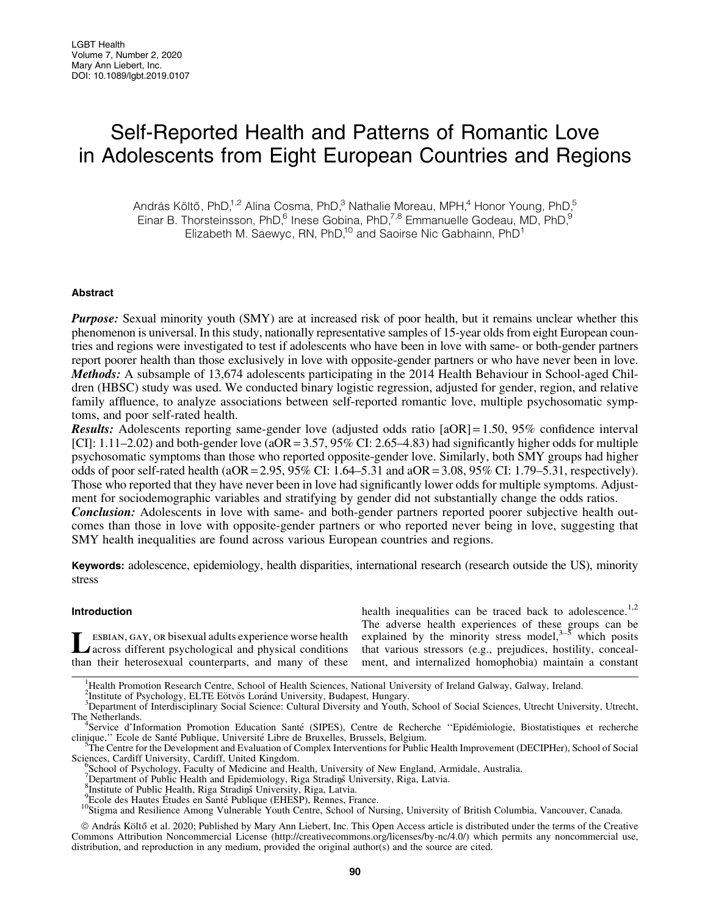# Self-Reported Health and Patterns of Romantic Love in Adolescents from Eight European Countries and Regions

András Költő, PhD,<sup>1,2</sup> Alina Cosma, PhD,<sup>3</sup> Nathalie Moreau, MPH,<sup>4</sup> Honor Young, PhD,<sup>5</sup> Einar B. Thorsteinsson, PhD,<sup>6</sup> Inese Gobina, PhD,<sup>7,8</sup> Emmanuelle Godeau, MD, PhD,<sup>9</sup> Elizabeth M. Saewyc, RN, PhD, $10^{\circ}$  and Saoirse Nic Gabhainn, PhD $1^{\circ}$ 

# Abstract

**Purpose:** Sexual minority youth (SMY) are at increased risk of poor health, but it remains unclear whether this phenomenon is universal. In this study, nationally representative samples of 15-year olds from eight European countries and regions were investigated to test if adolescents who have been in love with same- or both-gender partners report poorer health than those exclusively in love with opposite-gender partners or who have never been in love. Methods: A subsample of 13,674 adolescents participating in the 2014 Health Behaviour in School-aged Children (HBSC) study was used. We conducted binary logistic regression, adjusted for gender, region, and relative family affluence, to analyze associations between self-reported romantic love, multiple psychosomatic symptoms, and poor self-rated health.

**Results:** Adolescents reporting same-gender love (adjusted odds ratio  $[aOR] = 1.50$ , 95% confidence interval [CI]:  $1.11-2.02$ ) and both-gender love (aOR = 3.57, 95% CI: 2.65–4.83) had significantly higher odds for multiple psychosomatic symptoms than those who reported opposite-gender love. Similarly, both SMY groups had higher odds of poor self-rated health ( $aOR = 2.95$ ,  $95\%$  CI:  $1.64-5.31$  and  $aOR = 3.08$ ,  $95\%$  CI:  $1.79-5.31$ , respectively). Those who reported that they have never been in love had significantly lower odds for multiple symptoms. Adjustment for sociodemographic variables and stratifying by gender did not substantially change the odds ratios. **Conclusion:** Adolescents in love with same- and both-gender partners reported poorer subjective health out-

comes than those in love with opposite-gender partners or who reported never being in love, suggesting that SMY health inequalities are found across various European countries and regions.

Keywords: adolescence, epidemiology, health disparities, international research (research outside the US), minority stress

# Introduction

LesbIAN, GAY, OR bisexual adults experience worse health<br>across different psychological and physical conditions than their heterosexual counterparts, and many of these health inequalities can be traced back to adolescence.<sup>1,2</sup> The adverse health experiences of these groups can be explained by the minority stress model,  $3-5$  which posits that various stressors (e.g., prejudices, hostility, concealment, and internalized homophobia) maintain a constant

<sup>1</sup>Health Promotion Research Centre, School of Health Sciences, National University of Ireland Galway, Galway, Ireland.

 $^{2}$ Institute of Psychology, ELTE Eötvös Loránd University, Budapest, Hungary.<br> $^{3}$ Department of Interdicciplinary. Social Science: Cultural Diversity and Youth

Bepartment of Interdisciplinary Social Science: Cultural Diversity and Youth, School of Social Sciences, Utrecht University, Utrecht,

The Netherlands.<br><sup>4</sup>Service d'Information Promotion Education Santé (SIPES), Centre de Recherche "Epidémiologie, Biostatistiques et recherche clinique," Ecole de Santé Publique, Université Libre de Bruxelles, Brussels, Belgium.

<sup>5</sup>The Centre for the Development and Evaluation of Complex Interventions for Public Health Improvement (DECIPHer), School of Social Sciences, Cardiff University, Cardiff, United Kingdom. <sup>6</sup>

School of Psychology, Faculty of Medicine and Health, University of New England, Armidale, Australia.

<sup>10</sup>Stigma and Resilience Among Vulnerable Youth Centre, School of Nursing, University of British Columbia, Vancouver, Canada.

© András Költő et al. 2020; Published by Mary Ann Liebert, Inc. This Open Access article is distributed under the terms of the Creative Commons Attribution Noncommercial License (http://creativecommons.org/licenses/by-nc/4.0/) which permits any noncommercial use, distribution, and reproduction in any medium, provided the original author(s) and the source are cited.

<sup>7</sup> Department of Public Health and Epidemiology, Riga Stradinx University, Riga, Latvia.

<sup>&</sup>lt;sup>8</sup>Institute of Public Health, Riga Stradinš University, Riga, Latvia.<br><sup>9</sup>Ecole des Hautes Études en Santé Publique (EHESP), Rennes, France.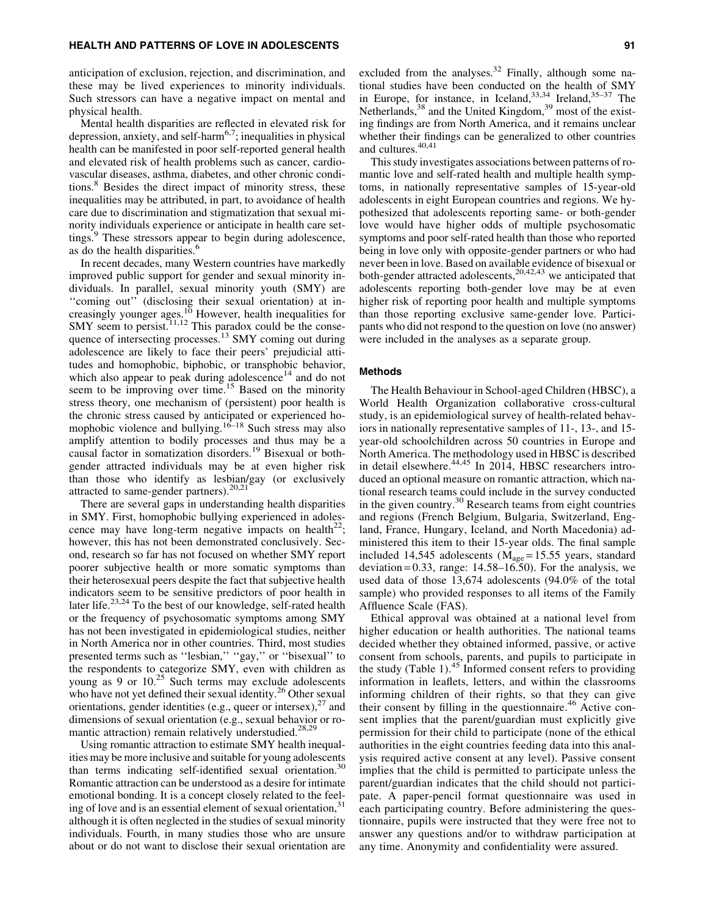anticipation of exclusion, rejection, and discrimination, and these may be lived experiences to minority individuals. Such stressors can have a negative impact on mental and physical health.

Mental health disparities are reflected in elevated risk for depression, anxiety, and self-harm<sup>6,7</sup>; inequalities in physical health can be manifested in poor self-reported general health and elevated risk of health problems such as cancer, cardiovascular diseases, asthma, diabetes, and other chronic conditions.<sup>8</sup> Besides the direct impact of minority stress, these inequalities may be attributed, in part, to avoidance of health care due to discrimination and stigmatization that sexual minority individuals experience or anticipate in health care settings.<sup>9</sup> These stressors appear to begin during adolescence, as do the health disparities.<sup>6</sup>

In recent decades, many Western countries have markedly improved public support for gender and sexual minority individuals. In parallel, sexual minority youth (SMY) are ''coming out'' (disclosing their sexual orientation) at increasingly younger ages.<sup>10</sup> However, health inequalities for SMY seem to persist.<sup>11,12</sup> This paradox could be the consequence of intersecting processes.<sup>13</sup> SMY coming out during adolescence are likely to face their peers' prejudicial attitudes and homophobic, biphobic, or transphobic behavior, which also appear to peak during adolescence<sup>14</sup> and do not seem to be improving over time.<sup>15</sup> Based on the minority stress theory, one mechanism of (persistent) poor health is the chronic stress caused by anticipated or experienced homophobic violence and bullying.<sup>16–18</sup> Such stress may also amplify attention to bodily processes and thus may be a causal factor in somatization disorders.<sup>19</sup> Bisexual or bothgender attracted individuals may be at even higher risk than those who identify as lesbian/gay (or exclusively attracted to same-gender partners).<sup>20,21</sup>

There are several gaps in understanding health disparities in SMY. First, homophobic bullying experienced in adolescence may have long-term negative impacts on health<sup>22</sup>; however, this has not been demonstrated conclusively. Second, research so far has not focused on whether SMY report poorer subjective health or more somatic symptoms than their heterosexual peers despite the fact that subjective health indicators seem to be sensitive predictors of poor health in later life.<sup>23,24</sup> To the best of our knowledge, self-rated health or the frequency of psychosomatic symptoms among SMY has not been investigated in epidemiological studies, neither in North America nor in other countries. Third, most studies presented terms such as ''lesbian,'' ''gay,'' or ''bisexual'' to the respondents to categorize SMY, even with children as young as 9 or  $10^{25}$  Such terms may exclude adolescents who have not yet defined their sexual identity.<sup>26</sup> Other sexual orientations, gender identities (e.g., queer or intersex), $27$  and dimensions of sexual orientation (e.g., sexual behavior or romantic attraction) remain relatively understudied.<sup>28,29</sup>

Using romantic attraction to estimate SMY health inequalities may be more inclusive and suitable for young adolescents than terms indicating self-identified sexual orientation.<sup>3</sup> Romantic attraction can be understood as a desire for intimate emotional bonding. It is a concept closely related to the feeling of love and is an essential element of sexual orientation, <sup>31</sup> although it is often neglected in the studies of sexual minority individuals. Fourth, in many studies those who are unsure about or do not want to disclose their sexual orientation are

excluded from the analyses.<sup>32</sup> Finally, although some national studies have been conducted on the health of SMY in Europe, for instance, in Iceland, $33,34$  Ireland, $35-37$  The Netherlands, $38$  and the United Kingdom, $39$  most of the existing findings are from North America, and it remains unclear whether their findings can be generalized to other countries and cultures.<sup>40,41</sup>

This study investigates associations between patterns of romantic love and self-rated health and multiple health symptoms, in nationally representative samples of 15-year-old adolescents in eight European countries and regions. We hypothesized that adolescents reporting same- or both-gender love would have higher odds of multiple psychosomatic symptoms and poor self-rated health than those who reported being in love only with opposite-gender partners or who had never been in love. Based on available evidence of bisexual or both-gender attracted adolescents,  $20,42,43$  we anticipated that adolescents reporting both-gender love may be at even higher risk of reporting poor health and multiple symptoms than those reporting exclusive same-gender love. Participants who did not respond to the question on love (no answer) were included in the analyses as a separate group.

### Methods

The Health Behaviour in School-aged Children (HBSC), a World Health Organization collaborative cross-cultural study, is an epidemiological survey of health-related behaviors in nationally representative samples of 11-, 13-, and 15 year-old schoolchildren across 50 countries in Europe and North America. The methodology used in HBSC is described in detail elsewhere.<sup>44,45</sup> In 2014, HBSC researchers introduced an optional measure on romantic attraction, which national research teams could include in the survey conducted in the given country.<sup>30</sup> Research teams from eight countries and regions (French Belgium, Bulgaria, Switzerland, England, France, Hungary, Iceland, and North Macedonia) administered this item to their 15-year olds. The final sample included 14,545 adolescents ( $M<sub>ave</sub> = 15.55$  years, standard deviation =  $0.33$ , range:  $14.58 - 16.50$ ). For the analysis, we used data of those 13,674 adolescents (94.0% of the total sample) who provided responses to all items of the Family Affluence Scale (FAS).

Ethical approval was obtained at a national level from higher education or health authorities. The national teams decided whether they obtained informed, passive, or active consent from schools, parents, and pupils to participate in the study (Table 1). $45$  Informed consent refers to providing information in leaflets, letters, and within the classrooms informing children of their rights, so that they can give their consent by filling in the questionnaire.<sup>46</sup> Active consent implies that the parent/guardian must explicitly give permission for their child to participate (none of the ethical authorities in the eight countries feeding data into this analysis required active consent at any level). Passive consent implies that the child is permitted to participate unless the parent/guardian indicates that the child should not participate. A paper-pencil format questionnaire was used in each participating country. Before administering the questionnaire, pupils were instructed that they were free not to answer any questions and/or to withdraw participation at any time. Anonymity and confidentiality were assured.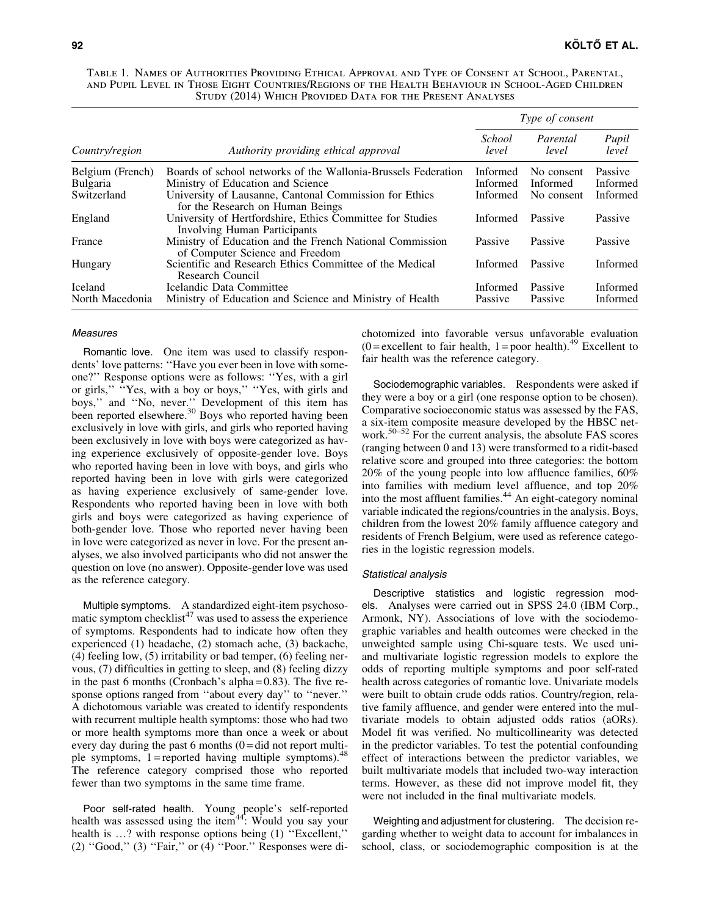|                  |                                                                                             |                 | Type of consent   |                 |
|------------------|---------------------------------------------------------------------------------------------|-----------------|-------------------|-----------------|
| Country/region   | Authority providing ethical approval                                                        | School<br>level | Parental<br>level | Pupil<br>level  |
| Belgium (French) | Boards of school networks of the Wallonia-Brussels Federation                               | Informed        | No consent        | Passive         |
| Bulgaria         | Ministry of Education and Science                                                           | Informed        | <b>Informed</b>   | Informed        |
| Switzerland      | University of Lausanne, Cantonal Commission for Ethics<br>for the Research on Human Beings  | Informed        | No consent        | Informed        |
| England          | University of Hertfordshire, Ethics Committee for Studies<br>Involving Human Participants   | Informed        | Passive           | Passive         |
| France           | Ministry of Education and the French National Commission<br>of Computer Science and Freedom | Passive         | Passive           | Passive         |
| Hungary          | Scientific and Research Ethics Committee of the Medical<br>Research Council                 | Informed        | Passive           | <b>Informed</b> |
| <b>Iceland</b>   | Icelandic Data Committee                                                                    | <b>Informed</b> | Passive           | <b>Informed</b> |
| North Macedonia  | Ministry of Education and Science and Ministry of Health                                    | Passive         | Passive           | Informed        |

Table 1. Names of Authorities Providing Ethical Approval and Type of Consent at School, Parental, and Pupil Level in Those Eight Countries/Regions of the Health Behaviour in School-Aged Children Study (2014) Which Provided Data for the Present Analyses

## Measures

Romantic love. One item was used to classify respondents' love patterns: ''Have you ever been in love with someone?'' Response options were as follows: ''Yes, with a girl or girls,'' ''Yes, with a boy or boys,'' ''Yes, with girls and boys,'' and ''No, never.'' Development of this item has been reported elsewhere.<sup>30</sup> Boys who reported having been exclusively in love with girls, and girls who reported having been exclusively in love with boys were categorized as having experience exclusively of opposite-gender love. Boys who reported having been in love with boys, and girls who reported having been in love with girls were categorized as having experience exclusively of same-gender love. Respondents who reported having been in love with both girls and boys were categorized as having experience of both-gender love. Those who reported never having been in love were categorized as never in love. For the present analyses, we also involved participants who did not answer the question on love (no answer). Opposite-gender love was used as the reference category.

Multiple symptoms. A standardized eight-item psychosomatic symptom checklist<sup>47</sup> was used to assess the experience of symptoms. Respondents had to indicate how often they experienced (1) headache, (2) stomach ache, (3) backache, (4) feeling low, (5) irritability or bad temper, (6) feeling nervous, (7) difficulties in getting to sleep, and (8) feeling dizzy in the past 6 months (Cronbach's alpha =  $0.83$ ). The five response options ranged from ''about every day'' to ''never.'' A dichotomous variable was created to identify respondents with recurrent multiple health symptoms: those who had two or more health symptoms more than once a week or about every day during the past 6 months  $(0 = did not report multi$ ple symptoms, 1 = reported having multiple symptoms).  $48$ The reference category comprised those who reported fewer than two symptoms in the same time frame.

Poor self-rated health. Young people's self-reported health was assessed using the item $44$ : Would you say your health is ...? with response options being (1) "Excellent," (2) ''Good,'' (3) ''Fair,'' or (4) ''Poor.'' Responses were dichotomized into favorable versus unfavorable evaluation  $(0 =$  excellent to fair health, 1 = poor health).<sup>49</sup> Excellent to fair health was the reference category.

Sociodemographic variables. Respondents were asked if they were a boy or a girl (one response option to be chosen). Comparative socioeconomic status was assessed by the FAS, a six-item composite measure developed by the HBSC network.50–52 For the current analysis, the absolute FAS scores (ranging between 0 and 13) were transformed to a ridit-based relative score and grouped into three categories: the bottom 20% of the young people into low affluence families, 60% into families with medium level affluence, and top 20% into the most affluent families.<sup>44</sup> An eight-category nominal variable indicated the regions/countries in the analysis. Boys, children from the lowest 20% family affluence category and residents of French Belgium, were used as reference categories in the logistic regression models.

#### Statistical analysis

Descriptive statistics and logistic regression models. Analyses were carried out in SPSS 24.0 (IBM Corp., Armonk, NY). Associations of love with the sociodemographic variables and health outcomes were checked in the unweighted sample using Chi-square tests. We used uniand multivariate logistic regression models to explore the odds of reporting multiple symptoms and poor self-rated health across categories of romantic love. Univariate models were built to obtain crude odds ratios. Country/region, relative family affluence, and gender were entered into the multivariate models to obtain adjusted odds ratios (aORs). Model fit was verified. No multicollinearity was detected in the predictor variables. To test the potential confounding effect of interactions between the predictor variables, we built multivariate models that included two-way interaction terms. However, as these did not improve model fit, they were not included in the final multivariate models.

Weighting and adjustment for clustering. The decision regarding whether to weight data to account for imbalances in school, class, or sociodemographic composition is at the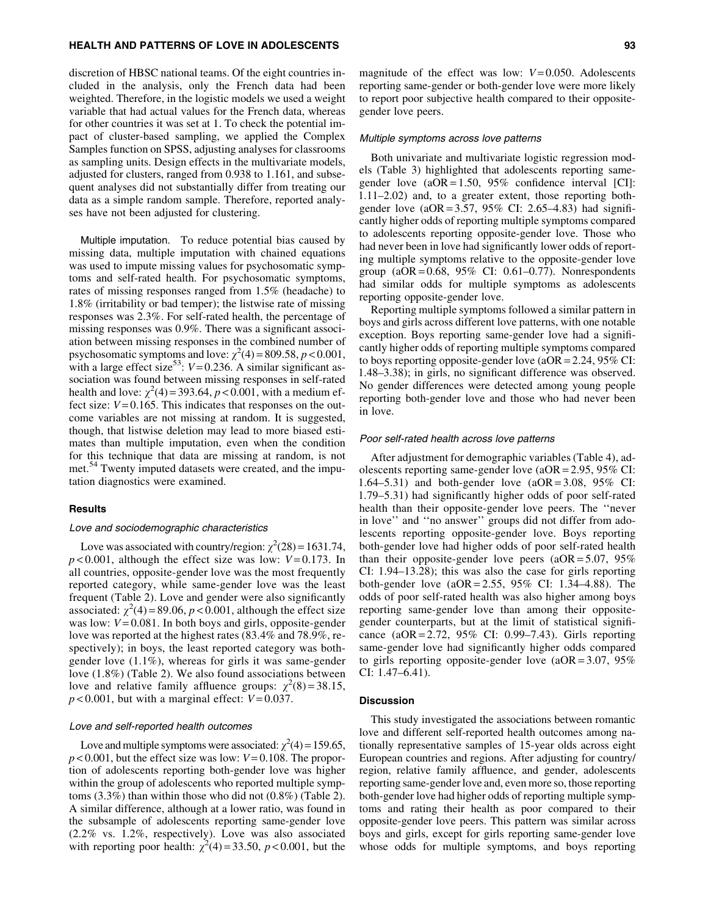## HEALTH AND PATTERNS OF LOVE IN ADOLESCENTS 93

discretion of HBSC national teams. Of the eight countries included in the analysis, only the French data had been weighted. Therefore, in the logistic models we used a weight variable that had actual values for the French data, whereas for other countries it was set at 1. To check the potential impact of cluster-based sampling, we applied the Complex Samples function on SPSS, adjusting analyses for classrooms as sampling units. Design effects in the multivariate models, adjusted for clusters, ranged from 0.938 to 1.161, and subsequent analyses did not substantially differ from treating our data as a simple random sample. Therefore, reported analyses have not been adjusted for clustering.

Multiple imputation. To reduce potential bias caused by missing data, multiple imputation with chained equations was used to impute missing values for psychosomatic symptoms and self-rated health. For psychosomatic symptoms, rates of missing responses ranged from 1.5% (headache) to 1.8% (irritability or bad temper); the listwise rate of missing responses was 2.3%. For self-rated health, the percentage of missing responses was 0.9%. There was a significant association between missing responses in the combined number of psychosomatic symptoms and love:  $\chi^2(4) = 809.58$ ,  $p < 0.001$ , with a large effect size<sup>53</sup>:  $V = 0.236$ . A similar significant association was found between missing responses in self-rated health and love:  $\chi^2(4) = 393.64$ ,  $p < 0.001$ , with a medium effect size:  $V = 0.165$ . This indicates that responses on the outcome variables are not missing at random. It is suggested, though, that listwise deletion may lead to more biased estimates than multiple imputation, even when the condition for this technique that data are missing at random, is not met.<sup>54</sup> Twenty imputed datasets were created, and the imputation diagnostics were examined.

### **Results**

## Love and sociodemographic characteristics

Love was associated with country/region:  $\chi^2(28) = 1631.74$ ,  $p$  < 0.001, although the effect size was low:  $V = 0.173$ . In all countries, opposite-gender love was the most frequently reported category, while same-gender love was the least frequent (Table 2). Love and gender were also significantly associated:  $\chi^2(4) = 89.06$ ,  $p < 0.001$ , although the effect size was low:  $V = 0.081$ . In both boys and girls, opposite-gender love was reported at the highest rates (83.4% and 78.9%, respectively); in boys, the least reported category was bothgender love (1.1%), whereas for girls it was same-gender love (1.8%) (Table 2). We also found associations between love and relative family affluence groups:  $\chi^2(8) = 38.15$ ,  $p$  < 0.001, but with a marginal effect:  $V = 0.037$ .

#### Love and self-reported health outcomes

Love and multiple symptoms were associated:  $\chi^2(4) = 159.65$ ,  $p$  < 0.001, but the effect size was low:  $V = 0.108$ . The proportion of adolescents reporting both-gender love was higher within the group of adolescents who reported multiple symptoms (3.3%) than within those who did not (0.8%) (Table 2). A similar difference, although at a lower ratio, was found in the subsample of adolescents reporting same-gender love (2.2% vs. 1.2%, respectively). Love was also associated with reporting poor health:  $\chi^2(4) = 33.50$ ,  $p < 0.001$ , but the

magnitude of the effect was low:  $V = 0.050$ . Adolescents reporting same-gender or both-gender love were more likely to report poor subjective health compared to their oppositegender love peers.

#### Multiple symptoms across love patterns

Both univariate and multivariate logistic regression models (Table 3) highlighted that adolescents reporting samegender love  $(aOR = 1.50, 95\%$  confidence interval [CI]: 1.11–2.02) and, to a greater extent, those reporting bothgender love ( $aOR = 3.57$ ,  $95\%$  CI: 2.65–4.83) had significantly higher odds of reporting multiple symptoms compared to adolescents reporting opposite-gender love. Those who had never been in love had significantly lower odds of reporting multiple symptoms relative to the opposite-gender love group  $(aOR = 0.68, 95\% \text{ CI: } 0.61 - 0.77)$ . Nonrespondents had similar odds for multiple symptoms as adolescents reporting opposite-gender love.

Reporting multiple symptoms followed a similar pattern in boys and girls across different love patterns, with one notable exception. Boys reporting same-gender love had a significantly higher odds of reporting multiple symptoms compared to boys reporting opposite-gender love (aOR = 2.24, 95% CI: 1.48–3.38); in girls, no significant difference was observed. No gender differences were detected among young people reporting both-gender love and those who had never been in love.

#### Poor self-rated health across love patterns

After adjustment for demographic variables (Table 4), adolescents reporting same-gender love (aOR = 2.95, 95% CI: 1.64–5.31) and both-gender love (aOR = 3.08, 95% CI: 1.79–5.31) had significantly higher odds of poor self-rated health than their opposite-gender love peers. The ''never in love'' and ''no answer'' groups did not differ from adolescents reporting opposite-gender love. Boys reporting both-gender love had higher odds of poor self-rated health than their opposite-gender love peers  $(aOR = 5.07, 95\%)$ CI: 1.94–13.28); this was also the case for girls reporting both-gender love (aOR = 2.55, 95% CI: 1.34–4.88). The odds of poor self-rated health was also higher among boys reporting same-gender love than among their oppositegender counterparts, but at the limit of statistical significance (aOR = 2.72, 95% CI: 0.99–7.43). Girls reporting same-gender love had significantly higher odds compared to girls reporting opposite-gender love ( $aOR = 3.07$ ,  $95\%$ ) CI: 1.47–6.41).

## **Discussion**

This study investigated the associations between romantic love and different self-reported health outcomes among nationally representative samples of 15-year olds across eight European countries and regions. After adjusting for country/ region, relative family affluence, and gender, adolescents reporting same-gender love and, even more so, those reporting both-gender love had higher odds of reporting multiple symptoms and rating their health as poor compared to their opposite-gender love peers. This pattern was similar across boys and girls, except for girls reporting same-gender love whose odds for multiple symptoms, and boys reporting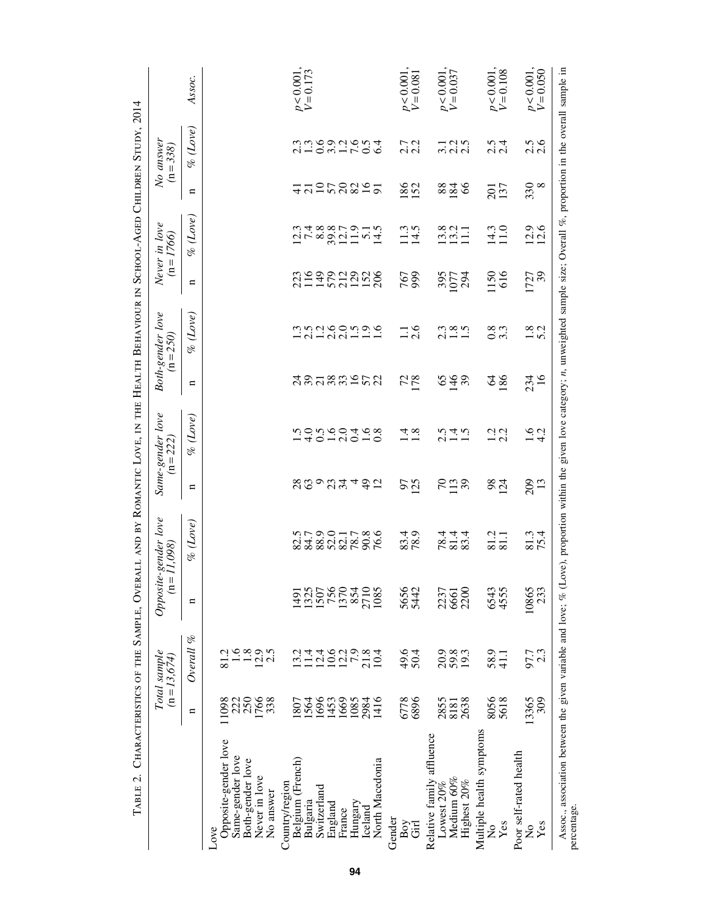| TABLE 2. CHARACTERISTICS OF THE SAMPLE, OVERALL AND BY ROMANTIC LOVE, IN THE HEALTH BEHAVIOUR IN SCHOOL-AGED CHILDREN STUDY, 2014                                                                     |              |                              |                                                                             |                                             |                  |                                              |                  |                                 |                    |                               |                  |                        |                              |
|-------------------------------------------------------------------------------------------------------------------------------------------------------------------------------------------------------|--------------|------------------------------|-----------------------------------------------------------------------------|---------------------------------------------|------------------|----------------------------------------------|------------------|---------------------------------|--------------------|-------------------------------|------------------|------------------------|------------------------------|
|                                                                                                                                                                                                       |              | Total sample<br>$(n=13,674)$ |                                                                             | $Opposite$ -gender love<br>( $n = 11,098$ ) |                  | Same-gender love<br>$(n=222)$                |                  | Both-gender love<br>$(n = 250)$ |                    | Never in love<br>$(n = 1766)$ |                  | No answer<br>$(n=338)$ |                              |
|                                                                                                                                                                                                       | n            | Overall $\%$                 | Ξ                                                                           | % (Love)                                    | Ξ                | % (Love)                                     | η                | $\%$ (Love)                     | η                  | $\%$ (Love)                   | η                | % (Love)               | Assoc.                       |
| Love                                                                                                                                                                                                  |              |                              |                                                                             |                                             |                  |                                              |                  |                                 |                    |                               |                  |                        |                              |
| Opposite-gender love                                                                                                                                                                                  | 11098        |                              |                                                                             |                                             |                  |                                              |                  |                                 |                    |                               |                  |                        |                              |
| Same-gender love                                                                                                                                                                                      |              |                              |                                                                             |                                             |                  |                                              |                  |                                 |                    |                               |                  |                        |                              |
| Both-gender love                                                                                                                                                                                      | 222          | $1.8$<br>$1.29$              |                                                                             |                                             |                  |                                              |                  |                                 |                    |                               |                  |                        |                              |
| Never in love                                                                                                                                                                                         | 1766         |                              |                                                                             |                                             |                  |                                              |                  |                                 |                    |                               |                  |                        |                              |
| No answer                                                                                                                                                                                             | 338          | 2.5                          |                                                                             |                                             |                  |                                              |                  |                                 |                    |                               |                  |                        |                              |
| Country/region                                                                                                                                                                                        |              |                              |                                                                             |                                             |                  |                                              |                  |                                 |                    |                               |                  |                        |                              |
| Belgium (French)                                                                                                                                                                                      | 1807         |                              | 1491                                                                        |                                             |                  |                                              |                  |                                 |                    |                               |                  |                        |                              |
| Bulgaria                                                                                                                                                                                              |              |                              |                                                                             |                                             |                  |                                              |                  |                                 |                    |                               |                  |                        | $p < 0.001,$<br>$V = 0.173$  |
| Switzerland                                                                                                                                                                                           | 1564<br>1695 |                              |                                                                             |                                             |                  |                                              |                  |                                 |                    |                               |                  |                        |                              |
| England                                                                                                                                                                                               |              |                              |                                                                             |                                             |                  |                                              |                  |                                 |                    |                               |                  |                        |                              |
| France                                                                                                                                                                                                | 1669         |                              |                                                                             |                                             |                  |                                              |                  |                                 |                    |                               |                  |                        |                              |
| Hungary                                                                                                                                                                                               | 1085         |                              |                                                                             |                                             |                  |                                              |                  |                                 |                    |                               |                  |                        |                              |
| Iceland                                                                                                                                                                                               | 2984<br>1416 |                              | $\begin{array}{c} 1325 \\ 1507 \\ 1576 \\ 1370 \\ 2310 \\ 1085 \end{array}$ | 238222886                                   | 88983492         | 140100100                                    | dauxantra        | 1211605196<br>121161111         | 31462328           | $1788871974$<br>$178871974$   | 45268852         | ningoning<br>11001100  |                              |
| North Macedonia                                                                                                                                                                                       |              |                              |                                                                             |                                             |                  |                                              |                  |                                 |                    |                               |                  |                        |                              |
| Gender                                                                                                                                                                                                |              |                              |                                                                             |                                             |                  |                                              |                  |                                 |                    |                               |                  |                        |                              |
| <b>Boy</b>                                                                                                                                                                                            | 6778         | 49.4                         | 5656<br>5442                                                                | 83.4                                        | $\frac{97}{125}$ | $\frac{4}{1}$ $\frac{8}{1}$                  | <b>72</b><br>178 | $\frac{1}{2.6}$                 | 767                | 11.5                          | 186              | 2.7<br>2.2             | $p < 0.001$ ,<br>$V = 0.081$ |
|                                                                                                                                                                                                       | 6896         |                              |                                                                             |                                             |                  |                                              |                  |                                 | 999                |                               |                  |                        |                              |
| Relative family affluence                                                                                                                                                                             |              |                              |                                                                             |                                             |                  |                                              |                  |                                 |                    |                               |                  |                        |                              |
| Medium 60%<br>Lowest 20%                                                                                                                                                                              | 2855         |                              |                                                                             |                                             | $\mathcal{L}$    |                                              |                  |                                 |                    |                               |                  |                        | $p < 0.001,$<br>$V = 0.037$  |
| Highest 20%                                                                                                                                                                                           | 2638<br>8181 | 20.3<br>20.3<br>19.3         | 2237<br>6661<br>2200                                                        | 823<br>823                                  | 113              | $\frac{2}{2}$<br>$\frac{4}{4}$ $\frac{1}{2}$ | sgas             |                                 | 395<br>1077<br>294 | 132<br>111                    | 828              | 1225<br>222            |                              |
| Multiple health symptoms                                                                                                                                                                              |              |                              |                                                                             |                                             |                  |                                              |                  |                                 |                    |                               |                  |                        |                              |
| $\frac{1}{2}$                                                                                                                                                                                         | 8056         |                              |                                                                             |                                             |                  |                                              |                  |                                 |                    |                               |                  |                        |                              |
| Yes                                                                                                                                                                                                   | 5618         | 58.9<br>41.1                 | 6543<br>4555                                                                | 81.1                                        | $\frac{8}{124}$  | $\frac{2}{2}$                                | $rac{5}{3}$      | $\frac{8}{3}$ 3                 | 1150<br>616        | 14.3                          | 201              | $2.4$<br>$2.4$         | $p < 0.001,$<br>$V = 0.108$  |
| Poor self-rated health                                                                                                                                                                                |              |                              |                                                                             |                                             |                  |                                              |                  |                                 |                    |                               |                  |                        |                              |
| $\mathsf{z}^{\circ}$                                                                                                                                                                                  | 13365        | 97.7                         | 10865<br>233                                                                | 81.3<br>75.4                                | 209<br>13        | $1.6$<br>$4.2$                               | 234              | $\frac{8}{5}$ .2                | 1727<br>39         | 12.6                          | 330 <sub>8</sub> | $\frac{2.5}{2.6}$      | $p < 0.001,$<br>$V = 0.050$  |
| Yes                                                                                                                                                                                                   | 309          |                              |                                                                             |                                             |                  |                                              |                  |                                 |                    |                               |                  |                        |                              |
| Assoc, association between the given variable and love; % (Love), proportion within the given love category; n, unweighted sample size; Overall %, proportion in the overall sample in<br>percentage. |              |                              |                                                                             |                                             |                  |                                              |                  |                                 |                    |                               |                  |                        |                              |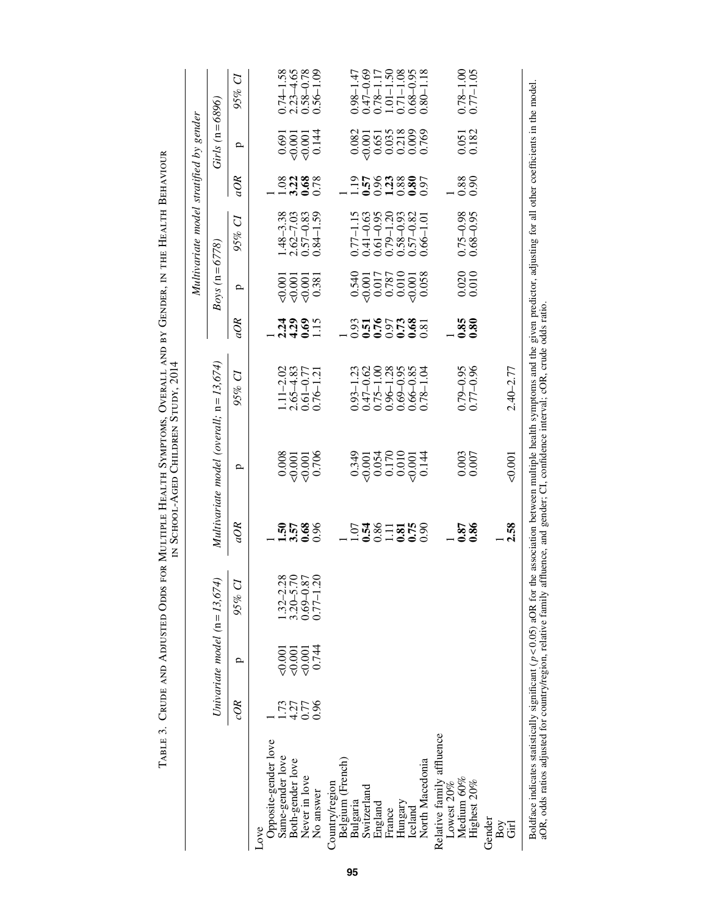|                                   |                |                |                                                                                         |                     |                                               |                                             |                                             |                    | Multivariate model stratified by gender |                 |                  |                                   |
|-----------------------------------|----------------|----------------|-----------------------------------------------------------------------------------------|---------------------|-----------------------------------------------|---------------------------------------------|---------------------------------------------|--------------------|-----------------------------------------|-----------------|------------------|-----------------------------------|
|                                   |                |                | Univariate model $(n=13,674)$                                                           |                     |                                               | Multivariate model (overall; $n = 13,674$ ) |                                             | $Boys (n = 6778)$  |                                         |                 | Girls $(n=6896)$ |                                   |
|                                   | $\partial R$   | p              | 95% CI                                                                                  | aOR                 | p                                             | 95% CI                                      | aOR                                         | p                  | 95% CI                                  | aOR             | p                | 95% CI                            |
| Opposite-gender love<br>Love      |                |                |                                                                                         |                     |                                               |                                             |                                             |                    |                                         |                 |                  |                                   |
| Same-gender love                  | 1.73           | 0.001          |                                                                                         | 1.50                | 0.008                                         | $1.11 - 2.02$                               |                                             | 0.001              | $1.48 - 3.38$<br>$2.62 - 7.03$          | 1.08            | 0.691            | $0.74 - 1.58$<br>$2.23 - 4.65$    |
| Both-gender love<br>Never in love | $4.27$<br>0.77 | 0.001<br>0.001 | $\begin{array}{c} 1.32 - 2.28 \\ 3.20 - 5.70 \\ 0.69 - 0.87 \\ 0.77 - 1.20 \end{array}$ | 3.57                | 0.001<br>0.001                                | $2.65 - 4.83$<br>$0.61 - 0.77$              | त १३<br>२५०                                 | 0.001<br>0.001     | $0.57 - 0.83$                           | 3.22            | 0.001<br>&0.001  | $0.58 - 0.78$                     |
| No answer                         | 0.96           | 0.744          |                                                                                         | 0.96                | 0.706                                         | $0.76 - 1.21$                               | 1.15                                        | 0.381              | $0.84 - 1.59$                           | 0.78            | 0.144            | $0.56 - 1.09$                     |
| Country/region                    |                |                |                                                                                         |                     |                                               |                                             |                                             |                    |                                         |                 |                  |                                   |
| Belgium (French)<br>Bulgaria      |                |                |                                                                                         | 1.07                | 0.349                                         | $0.93 - 1.23$                               | 0.93                                        | 0.540              | $0.77 - 1.15$                           |                 | 0.082            | $0.98 - 1.47$                     |
| Switzerland                       |                |                |                                                                                         | 0.86                | 0.001                                         | $0.47 - 0.62$                               |                                             | 0.001              | $0.41 - 0.63$                           | $\frac{19}{15}$ | 0.001            | $0.47 - 0.69$                     |
| England                           |                |                |                                                                                         |                     | 0.054                                         | $0.75 - 1.00$                               |                                             | 0.017              | $0.61 - 0.95$                           |                 | 0.651            | $0.78 - 1.17$                     |
| France                            |                |                |                                                                                         | $\frac{1.11}{0.81}$ | 0.170                                         | $0.96 - 1.28$                               |                                             | 0.787              | $0.79 - 1.20$                           | 1.23            | 0.035            | $1.01 - 1.50$<br>$0.71 - 1.08$    |
| Hungary                           |                |                |                                                                                         |                     | 0.010                                         | $0.69 - 0.95$                               |                                             | 0.010              | $0.58 - 0.93$                           |                 | 0.218            |                                   |
| North Macedonia<br>Iceland        |                |                |                                                                                         | 0.75<br>0.90        | 0.144<br>0.001                                | $0.66 - 0.85$<br>$0.78 - 1.04$              | 5255885<br>1000000                          | 0.058<br>0.001     | $0.57 - 0.82$<br>$0.66 - 1.01$          | 0.80<br>0.97    | 0.009            | $0.68 - 0.95$<br>$0.80 - 1.18$    |
| Relative family affluence         |                |                |                                                                                         |                     |                                               |                                             |                                             |                    |                                         |                 |                  |                                   |
| Lowest 20%                        |                |                |                                                                                         |                     |                                               |                                             |                                             |                    |                                         |                 |                  |                                   |
| Medium 60%                        |                |                |                                                                                         | 0.87                | $\begin{array}{c} 0.003 \\ 0.007 \end{array}$ | 0.79-0.95<br>0.77-0.96                      | $\begin{array}{c} 0.85 \\ 0.80 \end{array}$ | $0.020$<br>$0.010$ | $0.75 - 0.98$<br>$0.68 - 0.95$          | 0.88            | 0.051<br>0.182   | $\frac{0.78 - 1.00}{0.77 - 1.05}$ |
| Highest 20%                       |                |                |                                                                                         | 0.86                |                                               |                                             |                                             |                    |                                         |                 |                  |                                   |
| Gender                            |                |                |                                                                                         |                     |                                               |                                             |                                             |                    |                                         |                 |                  |                                   |
| <b>A</b> GH                       |                |                |                                                                                         | 2.58                | 0.001                                         | $2.40 - 2.77$                               |                                             |                    |                                         |                 |                  |                                   |

TABLE 3. CRUDE AND ADJUSTED ODDS FOR MULTIPLE HEALTH SYMPTOMS, OVERALL AND BY GENDER. IN THE HEALTH BEHAVIOUR Table 3. Crude and Adjusted Odds for Multiple Health Symptoms, Overall and by Gender, in the Health Behaviour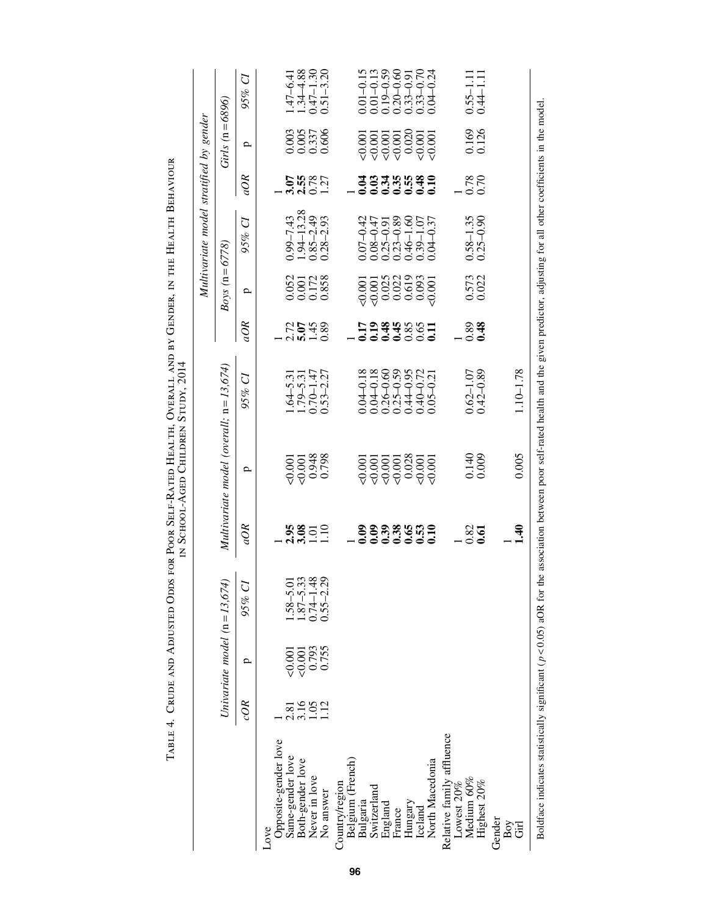|                                          |              |                |                                                                  |                           |                       |                                             |                    |                   | Multivariate model stratified by gender |                              |                         |                                                                          |
|------------------------------------------|--------------|----------------|------------------------------------------------------------------|---------------------------|-----------------------|---------------------------------------------|--------------------|-------------------|-----------------------------------------|------------------------------|-------------------------|--------------------------------------------------------------------------|
|                                          |              |                | Univariate model $(n=13,674)$                                    |                           |                       | Multivariate model (overall; $n = 13,674$ ) |                    | $Boys (n = 6778)$ |                                         |                              | Girls $(n=6896)$        |                                                                          |
|                                          | $\partial R$ | p              | $95\%$ CI                                                        | aOR                       | p                     | J<br>95%                                    | aOR                | p                 | $\overline{C}$<br>95%                   | aOR                          | ₽                       | $\overline{C}$<br>95%                                                    |
| Love                                     |              |                |                                                                  |                           |                       |                                             |                    |                   |                                         |                              |                         |                                                                          |
| Opposite-gender love<br>Same-gender love | 2.81         | 0.001          |                                                                  |                           | 0.001                 | $.64 - 5.31$                                |                    | 0.052             | $0.99 - 7.43$                           |                              | 0.003                   |                                                                          |
| Both-gender love                         | 3.16         | 0.001          |                                                                  |                           | 0.001                 | $1.79 - 5.31$<br>$0.70 - 1.47$              |                    | 0.001             | $.94 - 13.28$                           |                              |                         | $1.47 - 6.41$<br>$1.34 - 4.88$<br>$0.47 - 1.30$                          |
| Never in love<br>No answer               | 1.05<br>112  | 0.755<br>0.793 | $1.58 - 5.01$<br>$1.87 - 5.33$<br>$0.74 - 1.48$<br>$0.55 - 2.29$ |                           | 0.948<br>0.798        | $0.53 - 2.27$                               | $2.548$<br>$2.548$ | 0.172<br>0.858    | $0.85 - 2.49$<br>$0.28 - 2.93$          | $3.58$<br>$3.727$<br>$-1.27$ | 0.005<br>0.337<br>0.606 | $0.51 - 3.20$                                                            |
| Country/region                           |              |                |                                                                  |                           |                       |                                             |                    |                   |                                         |                              |                         |                                                                          |
| Belgium (French)<br>Bulgaria             |              |                |                                                                  | 0.09                      | 0.001                 | $0.04 - 0.18$                               |                    | 0.001             | $0.07 - 0.42$                           |                              | 0.001                   | $0.01 - 0.15$                                                            |
| Switzerland                              |              |                |                                                                  |                           | 0.001                 | $0.04 - 0.18$                               |                    | 0.001             | $0.08 - 0.47$                           |                              | $\frac{0.001}{0.001}$   | $\begin{array}{c} 0.01 - 0.13 \\ 0.19 - 0.59 \\ 0.20 - 0.60 \end{array}$ |
| England                                  |              |                |                                                                  |                           | $\frac{0.001}{0.001}$ | $0.26 - 0.60$                               |                    | 0.025             | $0.25 - 0.91$<br>$0.23 - 0.89$          |                              |                         |                                                                          |
| France                                   |              |                |                                                                  |                           | 0.028                 | $0.25 - 0.59$<br>$0.44 - 0.95$              |                    | 0.022             | $0.46 - 1.60$                           |                              | 0.020<br>0.001          | $0.33 - 0.91$                                                            |
| Hungary<br><b>Lceland</b>                |              |                |                                                                  | <b>enggung</b><br>0000000 | 0.001                 | $0.40 - 0.72$                               | 12349861           | 0.619<br>0.093    | $0.39 - 1.07$                           | 33355333                     | 0.001                   | $0.33 - 0.70$                                                            |
| North Macedonia                          |              |                |                                                                  |                           | 0.001                 | $0.05 - 0.21$                               |                    | 0.001             | $0.04 - 0.37$                           |                              | 0.001                   | $0.04 - 0.24$                                                            |
| Relative family affluence                |              |                |                                                                  |                           |                       |                                             |                    |                   |                                         |                              |                         |                                                                          |
| Medium 60%<br>Lowest 20%                 |              |                |                                                                  | 0.82                      |                       | $0.62 - 1.07$                               |                    |                   |                                         |                              |                         |                                                                          |
| Highest 20%                              |              |                |                                                                  | 0.61                      | 0.140<br>0.009        | $0.42 - 0.89$                               | $0.39$<br>0.48     | 0.573<br>0.022    | $0.58 - 1.35$<br>$0.25 - 0.90$          | 0.78                         | 0.169<br>0.126          | $0.55 - 1.11$<br>$0.44 - 1.11$                                           |
| Gender                                   |              |                |                                                                  |                           |                       |                                             |                    |                   |                                         |                              |                         |                                                                          |
| <b>Boy</b><br>Girl                       |              |                |                                                                  | $\frac{4}{1}$             | 0.005                 | $1.10 - 1.78$                               |                    |                   |                                         |                              |                         |                                                                          |
|                                          |              |                |                                                                  |                           |                       |                                             |                    |                   |                                         |                              |                         |                                                                          |

TABLE 4. CRUDE AND ADJUSTED ODDS FOR POOR SELF-RATED HEALTH, OVERALL AND BY GENDER, IN THE HEALTH BEHAVIOUR Table 4. Crude and Adjusted Odds for Poor Self-Rated Health, Overall and by Gender, in the Health Behaviour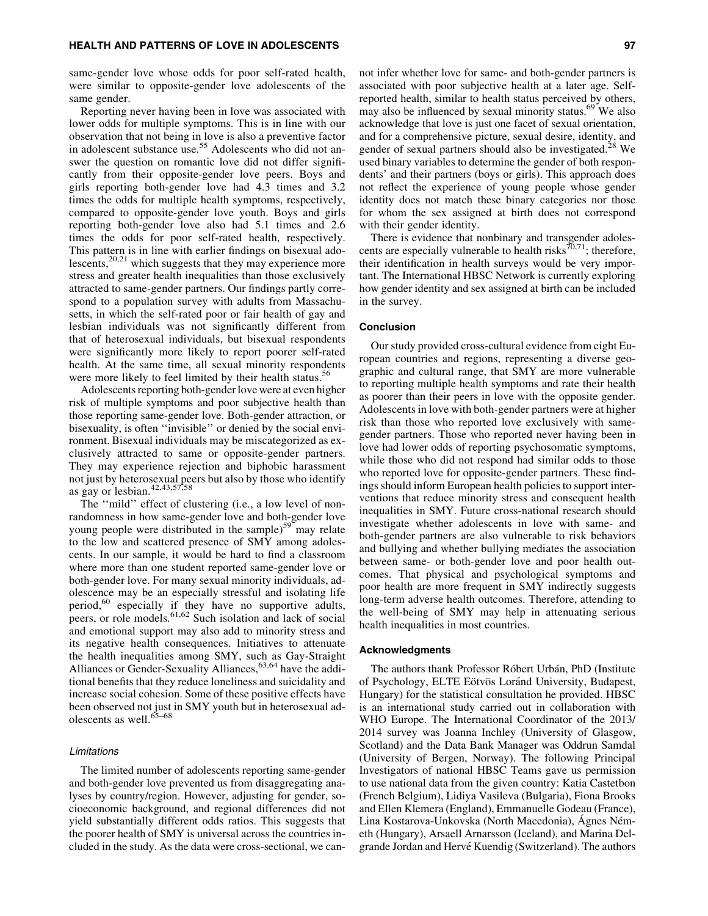same-gender love whose odds for poor self-rated health, were similar to opposite-gender love adolescents of the same gender.

Reporting never having been in love was associated with lower odds for multiple symptoms. This is in line with our observation that not being in love is also a preventive factor in adolescent substance use.<sup>55</sup> Adolescents who did not answer the question on romantic love did not differ significantly from their opposite-gender love peers. Boys and girls reporting both-gender love had 4.3 times and 3.2 times the odds for multiple health symptoms, respectively, compared to opposite-gender love youth. Boys and girls reporting both-gender love also had 5.1 times and 2.6 times the odds for poor self-rated health, respectively. This pattern is in line with earlier findings on bisexual adolescents,<sup>20,21</sup> which suggests that they may experience more stress and greater health inequalities than those exclusively attracted to same-gender partners. Our findings partly correspond to a population survey with adults from Massachusetts, in which the self-rated poor or fair health of gay and lesbian individuals was not significantly different from that of heterosexual individuals, but bisexual respondents were significantly more likely to report poorer self-rated health. At the same time, all sexual minority respondents were more likely to feel limited by their health status.<sup>56</sup>

Adolescents reporting both-gender love were at even higher risk of multiple symptoms and poor subjective health than those reporting same-gender love. Both-gender attraction, or bisexuality, is often ''invisible'' or denied by the social environment. Bisexual individuals may be miscategorized as exclusively attracted to same or opposite-gender partners. They may experience rejection and biphobic harassment not just by heterosexual peers but also by those who identify as gay or lesbian. $42,43,57,58$ 

The ''mild'' effect of clustering (i.e., a low level of nonrandomness in how same-gender love and both-gender love young people were distributed in the sample)<sup>59</sup> may relate to the low and scattered presence of SMY among adolescents. In our sample, it would be hard to find a classroom where more than one student reported same-gender love or both-gender love. For many sexual minority individuals, adolescence may be an especially stressful and isolating life period,<sup>60</sup> especially if they have no supportive adults, peers, or role models.<sup>61,62</sup> Such isolation and lack of social and emotional support may also add to minority stress and its negative health consequences. Initiatives to attenuate the health inequalities among SMY, such as Gay-Straight Alliances or Gender-Sexuality Alliances,<sup>63,64</sup> have the additional benefits that they reduce loneliness and suicidality and increase social cohesion. Some of these positive effects have been observed not just in SMY youth but in heterosexual adolescents as well.65–68

# Limitations

The limited number of adolescents reporting same-gender and both-gender love prevented us from disaggregating analyses by country/region. However, adjusting for gender, socioeconomic background, and regional differences did not yield substantially different odds ratios. This suggests that the poorer health of SMY is universal across the countries included in the study. As the data were cross-sectional, we cannot infer whether love for same- and both-gender partners is associated with poor subjective health at a later age. Selfreported health, similar to health status perceived by others, may also be influenced by sexual minority status.<sup>69</sup> We also acknowledge that love is just one facet of sexual orientation, and for a comprehensive picture, sexual desire, identity, and gender of sexual partners should also be investigated.<sup>28</sup> We used binary variables to determine the gender of both respondents' and their partners (boys or girls). This approach does not reflect the experience of young people whose gender identity does not match these binary categories nor those for whom the sex assigned at birth does not correspond with their gender identity.

There is evidence that nonbinary and transgender adolescents are especially vulnerable to health risks $\bar{r}^{0,71}$ ; therefore, their identification in health surveys would be very important. The International HBSC Network is currently exploring how gender identity and sex assigned at birth can be included in the survey.

# Conclusion

Our study provided cross-cultural evidence from eight European countries and regions, representing a diverse geographic and cultural range, that SMY are more vulnerable to reporting multiple health symptoms and rate their health as poorer than their peers in love with the opposite gender. Adolescents in love with both-gender partners were at higher risk than those who reported love exclusively with samegender partners. Those who reported never having been in love had lower odds of reporting psychosomatic symptoms, while those who did not respond had similar odds to those who reported love for opposite-gender partners. These findings should inform European health policies to support interventions that reduce minority stress and consequent health inequalities in SMY. Future cross-national research should investigate whether adolescents in love with same- and both-gender partners are also vulnerable to risk behaviors and bullying and whether bullying mediates the association between same- or both-gender love and poor health outcomes. That physical and psychological symptoms and poor health are more frequent in SMY indirectly suggests long-term adverse health outcomes. Therefore, attending to the well-being of SMY may help in attenuating serious health inequalities in most countries.

## Acknowledgments

The authors thank Professor Róbert Urbán, PhD (Institute of Psychology, ELTE Eötvös Loránd University, Budapest, Hungary) for the statistical consultation he provided. HBSC is an international study carried out in collaboration with WHO Europe. The International Coordinator of the 2013/ 2014 survey was Joanna Inchley (University of Glasgow, Scotland) and the Data Bank Manager was Oddrun Samdal (University of Bergen, Norway). The following Principal Investigators of national HBSC Teams gave us permission to use national data from the given country: Katia Castetbon (French Belgium), Lidiya Vasileva (Bulgaria), Fiona Brooks and Ellen Klemera (England), Emmanuelle Godeau (France), Lina Kostarova-Unkovska (North Macedonia), Agnes Németh (Hungary), Arsaell Arnarsson (Iceland), and Marina Delgrande Jordan and Hervé Kuendig (Switzerland). The authors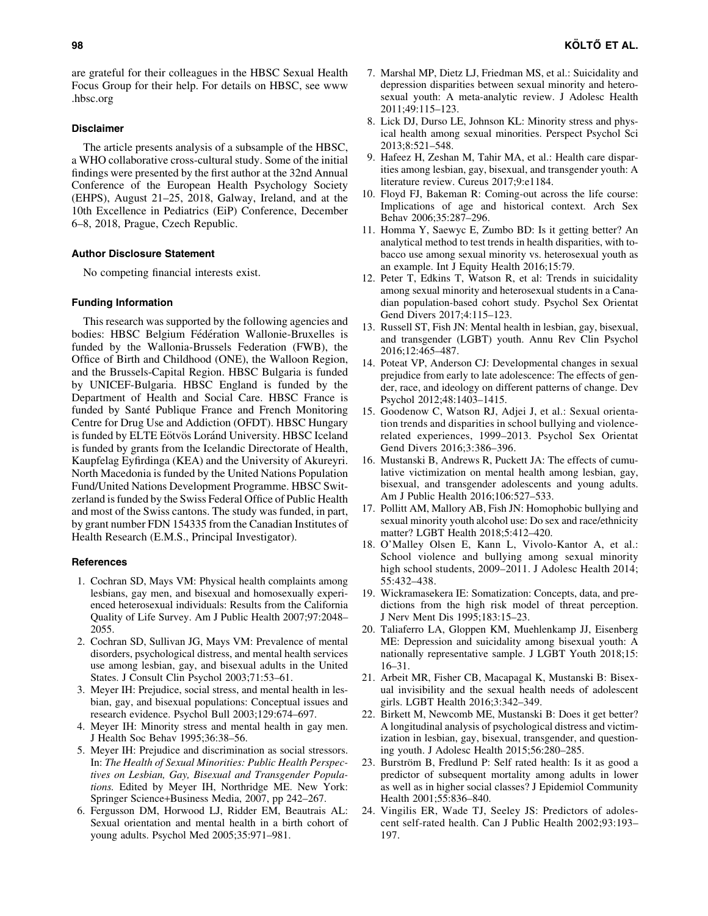are grateful for their colleagues in the HBSC Sexual Health Focus Group for their help. For details on HBSC, see [www](http://www.hbsc.org) [.hbsc.org](http://www.hbsc.org)

## Disclaimer

The article presents analysis of a subsample of the HBSC, a WHO collaborative cross-cultural study. Some of the initial findings were presented by the first author at the 32nd Annual Conference of the European Health Psychology Society (EHPS), August 21–25, 2018, Galway, Ireland, and at the 10th Excellence in Pediatrics (EiP) Conference, December 6–8, 2018, Prague, Czech Republic.

# Author Disclosure Statement

No competing financial interests exist.

## Funding Information

This research was supported by the following agencies and bodies: HBSC Belgium Fédération Wallonie-Bruxelles is funded by the Wallonia-Brussels Federation (FWB), the Office of Birth and Childhood (ONE), the Walloon Region, and the Brussels-Capital Region. HBSC Bulgaria is funded by UNICEF-Bulgaria. HBSC England is funded by the Department of Health and Social Care. HBSC France is funded by Santé Publique France and French Monitoring Centre for Drug Use and Addiction (OFDT). HBSC Hungary is funded by ELTE Eötvös Loránd University. HBSC Iceland is funded by grants from the Icelandic Directorate of Health, Kaupfelag Eyfirdinga (KEA) and the University of Akureyri. North Macedonia is funded by the United Nations Population Fund/United Nations Development Programme. HBSC Switzerland is funded by the Swiss Federal Office of Public Health and most of the Swiss cantons. The study was funded, in part, by grant number FDN 154335 from the Canadian Institutes of Health Research (E.M.S., Principal Investigator).

## **References**

- 1. Cochran SD, Mays VM: Physical health complaints among lesbians, gay men, and bisexual and homosexually experienced heterosexual individuals: Results from the California Quality of Life Survey. Am J Public Health 2007;97:2048– 2055.
- 2. Cochran SD, Sullivan JG, Mays VM: Prevalence of mental disorders, psychological distress, and mental health services use among lesbian, gay, and bisexual adults in the United States. J Consult Clin Psychol 2003;71:53–61.
- 3. Meyer IH: Prejudice, social stress, and mental health in lesbian, gay, and bisexual populations: Conceptual issues and research evidence. Psychol Bull 2003;129:674–697.
- 4. Meyer IH: Minority stress and mental health in gay men. J Health Soc Behav 1995;36:38–56.
- 5. Meyer IH: Prejudice and discrimination as social stressors. In: *The Health of Sexual Minorities: Public Health Perspectives on Lesbian, Gay, Bisexual and Transgender Populations.* Edited by Meyer IH, Northridge ME. New York: Springer Science+Business Media, 2007, pp 242–267.
- 6. Fergusson DM, Horwood LJ, Ridder EM, Beautrais AL: Sexual orientation and mental health in a birth cohort of young adults. Psychol Med 2005;35:971–981.
- 7. Marshal MP, Dietz LJ, Friedman MS, et al.: Suicidality and depression disparities between sexual minority and heterosexual youth: A meta-analytic review. J Adolesc Health 2011;49:115–123.
- 8. Lick DJ, Durso LE, Johnson KL: Minority stress and physical health among sexual minorities. Perspect Psychol Sci 2013;8:521–548.
- 9. Hafeez H, Zeshan M, Tahir MA, et al.: Health care disparities among lesbian, gay, bisexual, and transgender youth: A literature review. Cureus 2017;9:e1184.
- 10. Floyd FJ, Bakeman R: Coming-out across the life course: Implications of age and historical context. Arch Sex Behav 2006;35:287–296.
- 11. Homma Y, Saewyc E, Zumbo BD: Is it getting better? An analytical method to test trends in health disparities, with tobacco use among sexual minority vs. heterosexual youth as an example. Int J Equity Health 2016;15:79.
- 12. Peter T, Edkins T, Watson R, et al: Trends in suicidality among sexual minority and heterosexual students in a Canadian population-based cohort study. Psychol Sex Orientat Gend Divers 2017;4:115–123.
- 13. Russell ST, Fish JN: Mental health in lesbian, gay, bisexual, and transgender (LGBT) youth. Annu Rev Clin Psychol 2016;12:465–487.
- 14. Poteat VP, Anderson CJ: Developmental changes in sexual prejudice from early to late adolescence: The effects of gender, race, and ideology on different patterns of change. Dev Psychol 2012;48:1403–1415.
- 15. Goodenow C, Watson RJ, Adjei J, et al.: Sexual orientation trends and disparities in school bullying and violencerelated experiences, 1999–2013. Psychol Sex Orientat Gend Divers 2016;3:386–396.
- 16. Mustanski B, Andrews R, Puckett JA: The effects of cumulative victimization on mental health among lesbian, gay, bisexual, and transgender adolescents and young adults. Am J Public Health 2016;106:527–533.
- 17. Pollitt AM, Mallory AB, Fish JN: Homophobic bullying and sexual minority youth alcohol use: Do sex and race/ethnicity matter? LGBT Health 2018;5:412–420.
- 18. O'Malley Olsen E, Kann L, Vivolo-Kantor A, et al.: School violence and bullying among sexual minority high school students, 2009–2011. J Adolesc Health 2014; 55:432–438.
- 19. Wickramasekera IE: Somatization: Concepts, data, and predictions from the high risk model of threat perception. J Nerv Ment Dis 1995;183:15–23.
- 20. Taliaferro LA, Gloppen KM, Muehlenkamp JJ, Eisenberg ME: Depression and suicidality among bisexual youth: A nationally representative sample. J LGBT Youth 2018;15: 16–31.
- 21. Arbeit MR, Fisher CB, Macapagal K, Mustanski B: Bisexual invisibility and the sexual health needs of adolescent girls. LGBT Health 2016;3:342–349.
- 22. Birkett M, Newcomb ME, Mustanski B: Does it get better? A longitudinal analysis of psychological distress and victimization in lesbian, gay, bisexual, transgender, and questioning youth. J Adolesc Health 2015;56:280–285.
- 23. Burström B, Fredlund P: Self rated health: Is it as good a predictor of subsequent mortality among adults in lower as well as in higher social classes? J Epidemiol Community Health 2001;55:836–840.
- 24. Vingilis ER, Wade TJ, Seeley JS: Predictors of adolescent self-rated health. Can J Public Health 2002;93:193– 197.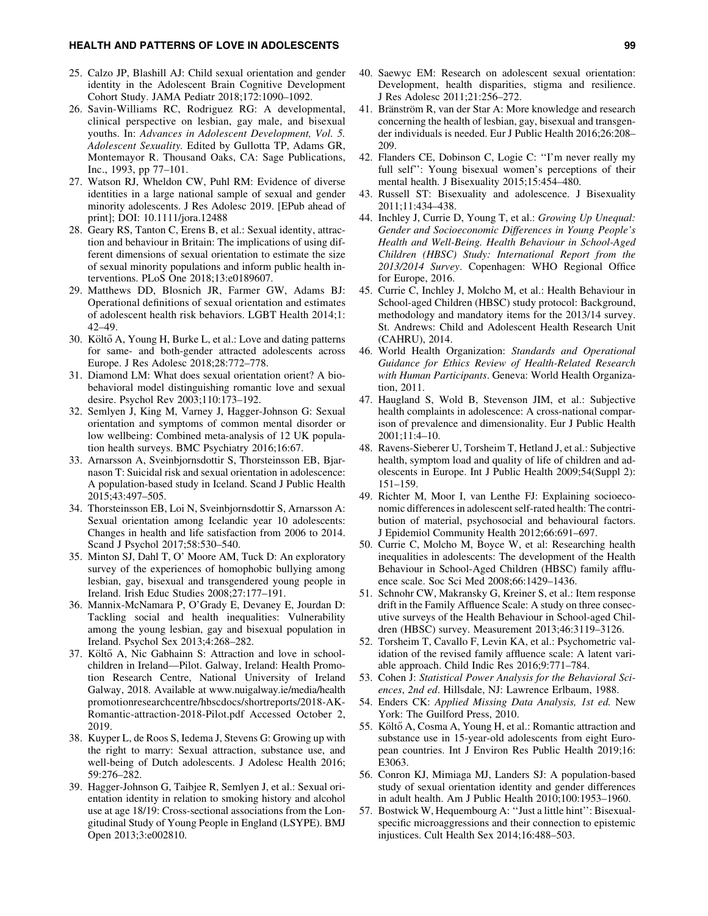- 25. Calzo JP, Blashill AJ: Child sexual orientation and gender identity in the Adolescent Brain Cognitive Development Cohort Study. JAMA Pediatr 2018;172:1090–1092.
- 26. Savin-Williams RC, Rodriguez RG: A developmental, clinical perspective on lesbian, gay male, and bisexual youths. In: *Advances in Adolescent Development, Vol. 5. Adolescent Sexuality.* Edited by Gullotta TP, Adams GR, Montemayor R. Thousand Oaks, CA: Sage Publications, Inc., 1993, pp 77–101.
- 27. Watson RJ, Wheldon CW, Puhl RM: Evidence of diverse identities in a large national sample of sexual and gender minority adolescents. J Res Adolesc 2019. [EPub ahead of print]; DOI: 10.1111/jora.12488
- 28. Geary RS, Tanton C, Erens B, et al.: Sexual identity, attraction and behaviour in Britain: The implications of using different dimensions of sexual orientation to estimate the size of sexual minority populations and inform public health interventions. PLoS One 2018;13:e0189607.
- 29. Matthews DD, Blosnich JR, Farmer GW, Adams BJ: Operational definitions of sexual orientation and estimates of adolescent health risk behaviors. LGBT Health 2014;1: 42–49.
- 30. Költő A, Young H, Burke L, et al.: Love and dating patterns for same- and both-gender attracted adolescents across Europe. J Res Adolesc 2018;28:772–778.
- 31. Diamond LM: What does sexual orientation orient? A biobehavioral model distinguishing romantic love and sexual desire. Psychol Rev 2003;110:173–192.
- 32. Semlyen J, King M, Varney J, Hagger-Johnson G: Sexual orientation and symptoms of common mental disorder or low wellbeing: Combined meta-analysis of 12 UK population health surveys. BMC Psychiatry 2016;16:67.
- 33. Arnarsson A, Sveinbjornsdottir S, Thorsteinsson EB, Bjarnason T: Suicidal risk and sexual orientation in adolescence: A population-based study in Iceland. Scand J Public Health 2015;43:497–505.
- 34. Thorsteinsson EB, Loi N, Sveinbjornsdottir S, Arnarsson A: Sexual orientation among Icelandic year 10 adolescents: Changes in health and life satisfaction from 2006 to 2014. Scand J Psychol 2017;58:530–540.
- 35. Minton SJ, Dahl T, O' Moore AM, Tuck D: An exploratory survey of the experiences of homophobic bullying among lesbian, gay, bisexual and transgendered young people in Ireland. Irish Educ Studies 2008;27:177–191.
- 36. Mannix-McNamara P, O'Grady E, Devaney E, Jourdan D: Tackling social and health inequalities: Vulnerability among the young lesbian, gay and bisexual population in Ireland. Psychol Sex 2013;4:268–282.
- 37. Költő A, Nic Gabhainn S: Attraction and love in schoolchildren in Ireland—Pilot. Galway, Ireland: Health Promotion Research Centre, National University of Ireland Galway, 2018. Available at [www.nuigalway.ie/media/health](http://www.nuigalway.ie/media/healthpromotionresearchcentre/hbscdocs/shortreports/2018-AK-Romantic-attraction-2018-Pilot.pdf) [promotionresearchcentre/hbscdocs/shortreports/2018-AK-](http://www.nuigalway.ie/media/healthpromotionresearchcentre/hbscdocs/shortreports/2018-AK-Romantic-attraction-2018-Pilot.pdf)[Romantic-attraction-2018-Pilot.pdf](http://www.nuigalway.ie/media/healthpromotionresearchcentre/hbscdocs/shortreports/2018-AK-Romantic-attraction-2018-Pilot.pdf) Accessed October 2, 2019.
- 38. Kuyper L, de Roos S, Iedema J, Stevens G: Growing up with the right to marry: Sexual attraction, substance use, and well-being of Dutch adolescents. J Adolesc Health 2016; 59:276–282.
- 39. Hagger-Johnson G, Taibjee R, Semlyen J, et al.: Sexual orientation identity in relation to smoking history and alcohol use at age 18/19: Cross-sectional associations from the Longitudinal Study of Young People in England (LSYPE). BMJ Open 2013;3:e002810.
- 40. Saewyc EM: Research on adolescent sexual orientation: Development, health disparities, stigma and resilience. J Res Adolesc 2011;21:256–272.
- 41. Bränström R, van der Star A: More knowledge and research concerning the health of lesbian, gay, bisexual and transgender individuals is needed. Eur J Public Health 2016;26:208– 209.
- 42. Flanders CE, Dobinson C, Logie C: ''I'm never really my full self'': Young bisexual women's perceptions of their mental health. J Bisexuality 2015;15:454–480.
- 43. Russell ST: Bisexuality and adolescence. J Bisexuality 2011;11:434–438.
- 44. Inchley J, Currie D, Young T, et al.: *Growing Up Unequal: Gender and Socioeconomic Differences in Young People's Health and Well-Being. Health Behaviour in School-Aged Children (HBSC) Study: International Report from the 2013/2014 Survey*. Copenhagen: WHO Regional Office for Europe, 2016.
- 45. Currie C, Inchley J, Molcho M, et al.: Health Behaviour in School-aged Children (HBSC) study protocol: Background, methodology and mandatory items for the 2013/14 survey. St. Andrews: Child and Adolescent Health Research Unit (CAHRU), 2014.
- 46. World Health Organization: *Standards and Operational Guidance for Ethics Review of Health-Related Research with Human Participants*. Geneva: World Health Organization, 2011.
- 47. Haugland S, Wold B, Stevenson JIM, et al.: Subjective health complaints in adolescence: A cross-national comparison of prevalence and dimensionality. Eur J Public Health 2001;11:4–10.
- 48. Ravens-Sieberer U, Torsheim T, Hetland J, et al.: Subjective health, symptom load and quality of life of children and adolescents in Europe. Int J Public Health 2009;54(Suppl 2): 151–159.
- 49. Richter M, Moor I, van Lenthe FJ: Explaining socioeconomic differences in adolescent self-rated health: The contribution of material, psychosocial and behavioural factors. J Epidemiol Community Health 2012;66:691–697.
- 50. Currie C, Molcho M, Boyce W, et al: Researching health inequalities in adolescents: The development of the Health Behaviour in School-Aged Children (HBSC) family affluence scale. Soc Sci Med 2008;66:1429–1436.
- 51. Schnohr CW, Makransky G, Kreiner S, et al.: Item response drift in the Family Affluence Scale: A study on three consecutive surveys of the Health Behaviour in School-aged Children (HBSC) survey. Measurement 2013;46:3119–3126.
- 52. Torsheim T, Cavallo F, Levin KA, et al.: Psychometric validation of the revised family affluence scale: A latent variable approach. Child Indic Res 2016;9:771–784.
- 53. Cohen J: *Statistical Power Analysis for the Behavioral Sciences*, *2nd ed*. Hillsdale, NJ: Lawrence Erlbaum, 1988.
- 54. Enders CK: *Applied Missing Data Analysis, 1st ed.* New York: The Guilford Press, 2010.
- 55. Költő A, Cosma A, Young H, et al.: Romantic attraction and substance use in 15-year-old adolescents from eight European countries. Int J Environ Res Public Health 2019;16: E3063.
- 56. Conron KJ, Mimiaga MJ, Landers SJ: A population-based study of sexual orientation identity and gender differences in adult health. Am J Public Health 2010;100:1953–1960.
- 57. Bostwick W, Hequembourg A: ''Just a little hint'': Bisexualspecific microaggressions and their connection to epistemic injustices. Cult Health Sex 2014;16:488–503.